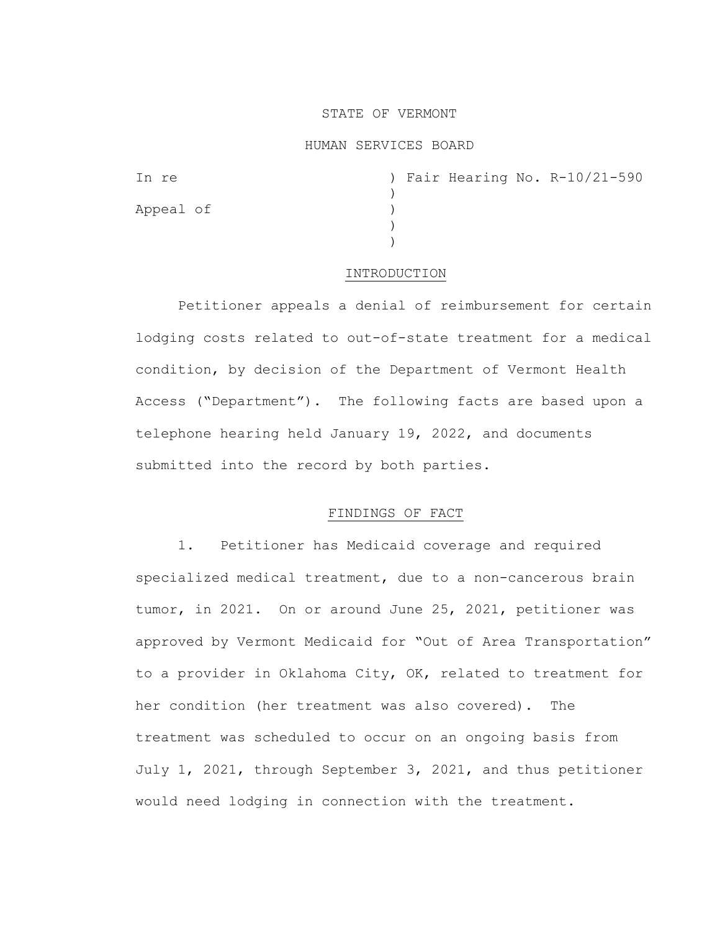## STATE OF VERMONT

### HUMAN SERVICES BOARD

| In re     |  |  | ) Fair Hearing No. R-10/21-590 |
|-----------|--|--|--------------------------------|
|           |  |  |                                |
| Appeal of |  |  |                                |
|           |  |  |                                |
|           |  |  |                                |

#### INTRODUCTION

Petitioner appeals a denial of reimbursement for certain lodging costs related to out-of-state treatment for a medical condition, by decision of the Department of Vermont Health Access ("Department"). The following facts are based upon a telephone hearing held January 19, 2022, and documents submitted into the record by both parties.

## FINDINGS OF FACT

1. Petitioner has Medicaid coverage and required specialized medical treatment, due to a non-cancerous brain tumor, in 2021. On or around June 25, 2021, petitioner was approved by Vermont Medicaid for "Out of Area Transportation" to a provider in Oklahoma City, OK, related to treatment for her condition (her treatment was also covered). The treatment was scheduled to occur on an ongoing basis from July 1, 2021, through September 3, 2021, and thus petitioner would need lodging in connection with the treatment.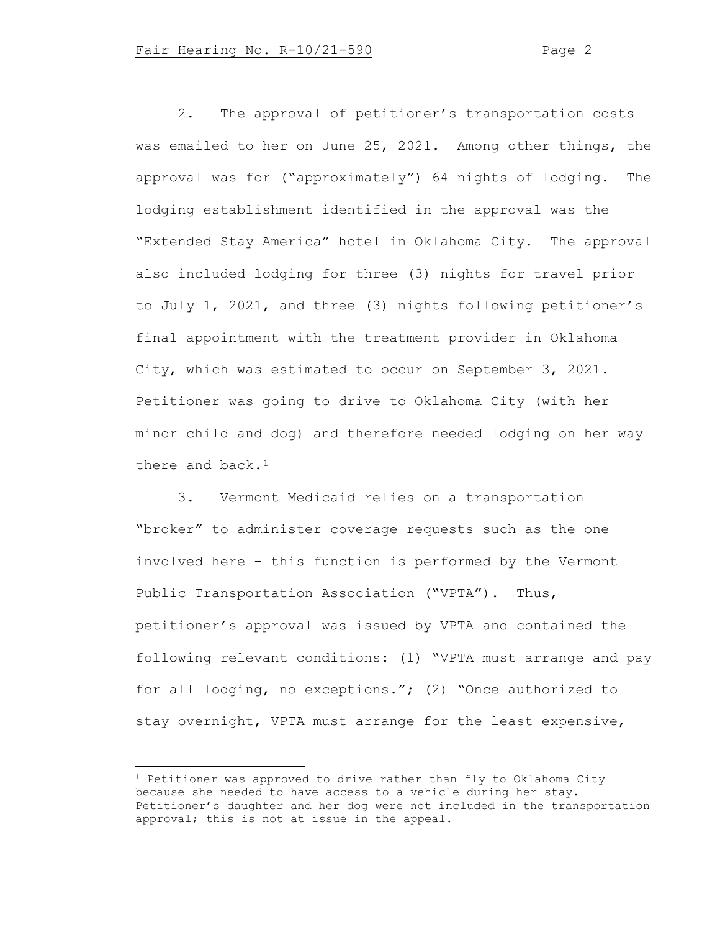2. The approval of petitioner's transportation costs was emailed to her on June 25, 2021. Among other things, the approval was for ("approximately") 64 nights of lodging. The lodging establishment identified in the approval was the "Extended Stay America" hotel in Oklahoma City. The approval also included lodging for three (3) nights for travel prior to July 1, 2021, and three (3) nights following petitioner's final appointment with the treatment provider in Oklahoma City, which was estimated to occur on September 3, 2021. Petitioner was going to drive to Oklahoma City (with her minor child and dog) and therefore needed lodging on her way there and  $back.1$  $back.1$ 

3. Vermont Medicaid relies on a transportation "broker" to administer coverage requests such as the one involved here – this function is performed by the Vermont Public Transportation Association ("VPTA"). Thus, petitioner's approval was issued by VPTA and contained the following relevant conditions: (1) "VPTA must arrange and pay for all lodging, no exceptions."; (2) "Once authorized to stay overnight, VPTA must arrange for the least expensive,

<span id="page-1-0"></span><sup>&</sup>lt;sup>1</sup> Petitioner was approved to drive rather than fly to Oklahoma City because she needed to have access to a vehicle during her stay. Petitioner's daughter and her dog were not included in the transportation approval; this is not at issue in the appeal.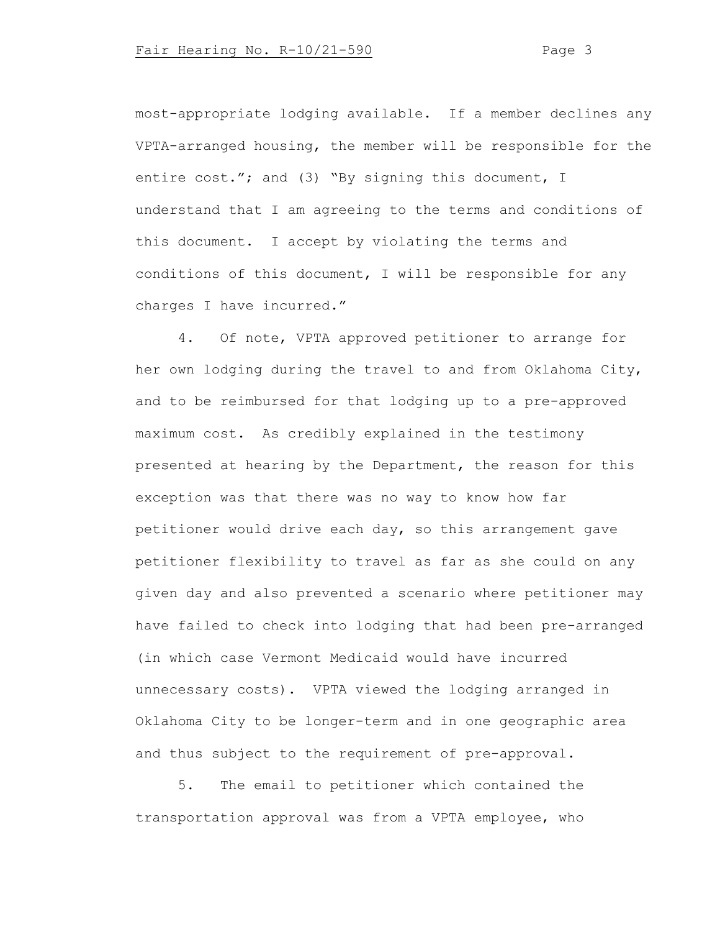most-appropriate lodging available. If a member declines any VPTA-arranged housing, the member will be responsible for the entire cost."; and (3) "By signing this document, I understand that I am agreeing to the terms and conditions of this document. I accept by violating the terms and conditions of this document, I will be responsible for any charges I have incurred."

4. Of note, VPTA approved petitioner to arrange for her own lodging during the travel to and from Oklahoma City, and to be reimbursed for that lodging up to a pre-approved maximum cost. As credibly explained in the testimony presented at hearing by the Department, the reason for this exception was that there was no way to know how far petitioner would drive each day, so this arrangement gave petitioner flexibility to travel as far as she could on any given day and also prevented a scenario where petitioner may have failed to check into lodging that had been pre-arranged (in which case Vermont Medicaid would have incurred unnecessary costs). VPTA viewed the lodging arranged in Oklahoma City to be longer-term and in one geographic area and thus subject to the requirement of pre-approval.

5. The email to petitioner which contained the transportation approval was from a VPTA employee, who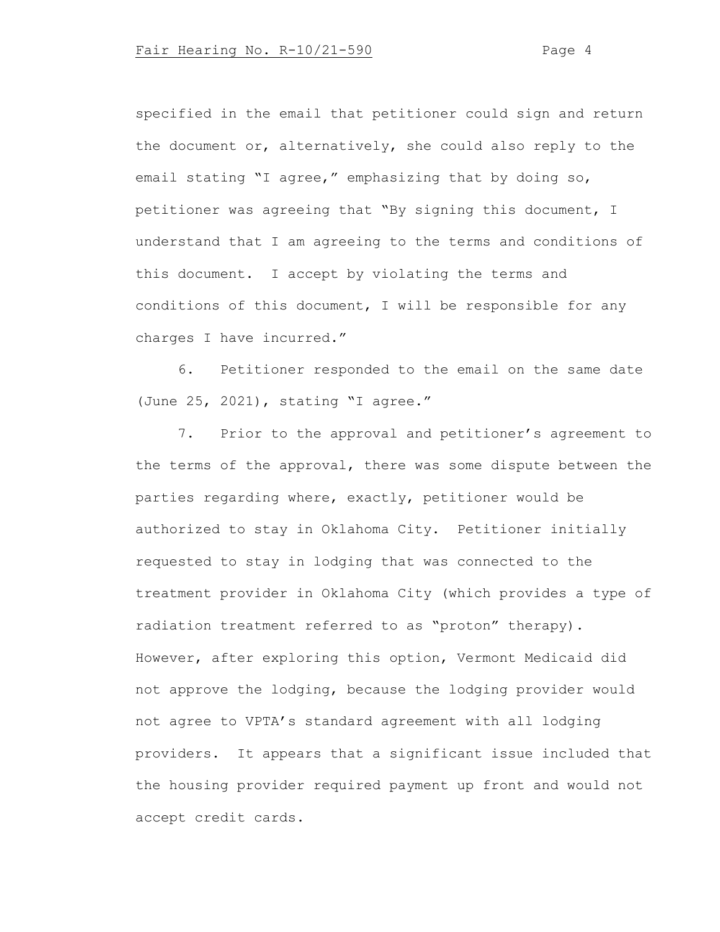specified in the email that petitioner could sign and return the document or, alternatively, she could also reply to the email stating "I agree," emphasizing that by doing so, petitioner was agreeing that "By signing this document, I understand that I am agreeing to the terms and conditions of this document. I accept by violating the terms and conditions of this document, I will be responsible for any charges I have incurred."

6. Petitioner responded to the email on the same date (June 25, 2021), stating "I agree."

7. Prior to the approval and petitioner's agreement to the terms of the approval, there was some dispute between the parties regarding where, exactly, petitioner would be authorized to stay in Oklahoma City. Petitioner initially requested to stay in lodging that was connected to the treatment provider in Oklahoma City (which provides a type of radiation treatment referred to as "proton" therapy). However, after exploring this option, Vermont Medicaid did not approve the lodging, because the lodging provider would not agree to VPTA's standard agreement with all lodging providers. It appears that a significant issue included that the housing provider required payment up front and would not accept credit cards.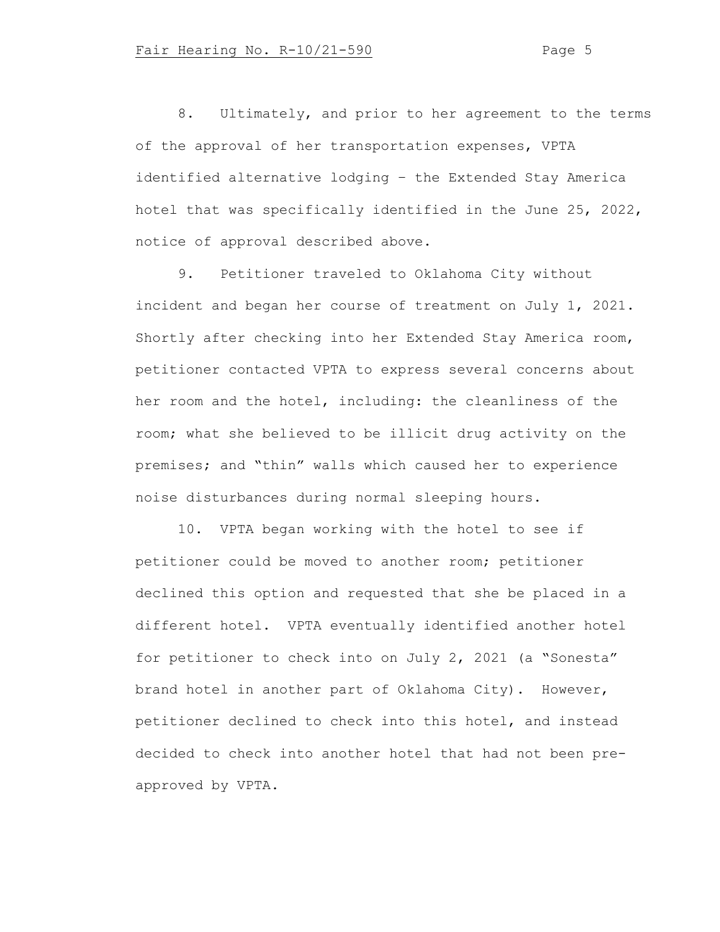8. Ultimately, and prior to her agreement to the terms of the approval of her transportation expenses, VPTA identified alternative lodging – the Extended Stay America hotel that was specifically identified in the June 25, 2022, notice of approval described above.

9. Petitioner traveled to Oklahoma City without incident and began her course of treatment on July 1, 2021. Shortly after checking into her Extended Stay America room, petitioner contacted VPTA to express several concerns about her room and the hotel, including: the cleanliness of the room; what she believed to be illicit drug activity on the premises; and "thin" walls which caused her to experience noise disturbances during normal sleeping hours.

10. VPTA began working with the hotel to see if petitioner could be moved to another room; petitioner declined this option and requested that she be placed in a different hotel. VPTA eventually identified another hotel for petitioner to check into on July 2, 2021 (a "Sonesta" brand hotel in another part of Oklahoma City). However, petitioner declined to check into this hotel, and instead decided to check into another hotel that had not been preapproved by VPTA.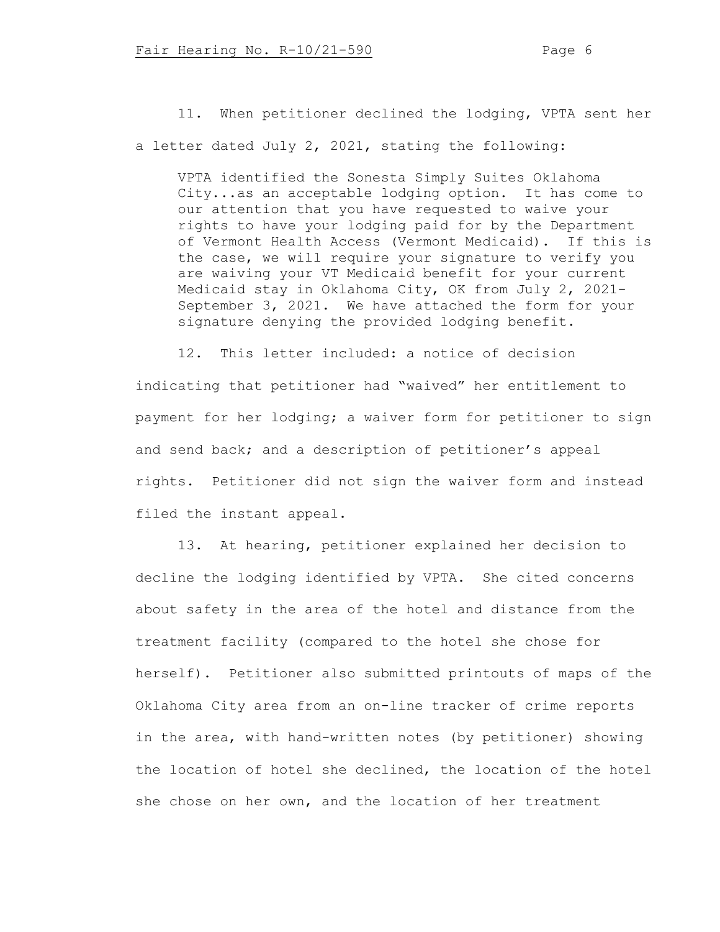11. When petitioner declined the lodging, VPTA sent her a letter dated July 2, 2021, stating the following:

VPTA identified the Sonesta Simply Suites Oklahoma City...as an acceptable lodging option. It has come to our attention that you have requested to waive your rights to have your lodging paid for by the Department of Vermont Health Access (Vermont Medicaid). If this is the case, we will require your signature to verify you are waiving your VT Medicaid benefit for your current Medicaid stay in Oklahoma City, OK from July 2, 2021- September 3, 2021. We have attached the form for your signature denying the provided lodging benefit.

12. This letter included: a notice of decision indicating that petitioner had "waived" her entitlement to payment for her lodging; a waiver form for petitioner to sign and send back; and a description of petitioner's appeal rights. Petitioner did not sign the waiver form and instead filed the instant appeal.

13. At hearing, petitioner explained her decision to decline the lodging identified by VPTA. She cited concerns about safety in the area of the hotel and distance from the treatment facility (compared to the hotel she chose for herself). Petitioner also submitted printouts of maps of the Oklahoma City area from an on-line tracker of crime reports in the area, with hand-written notes (by petitioner) showing the location of hotel she declined, the location of the hotel she chose on her own, and the location of her treatment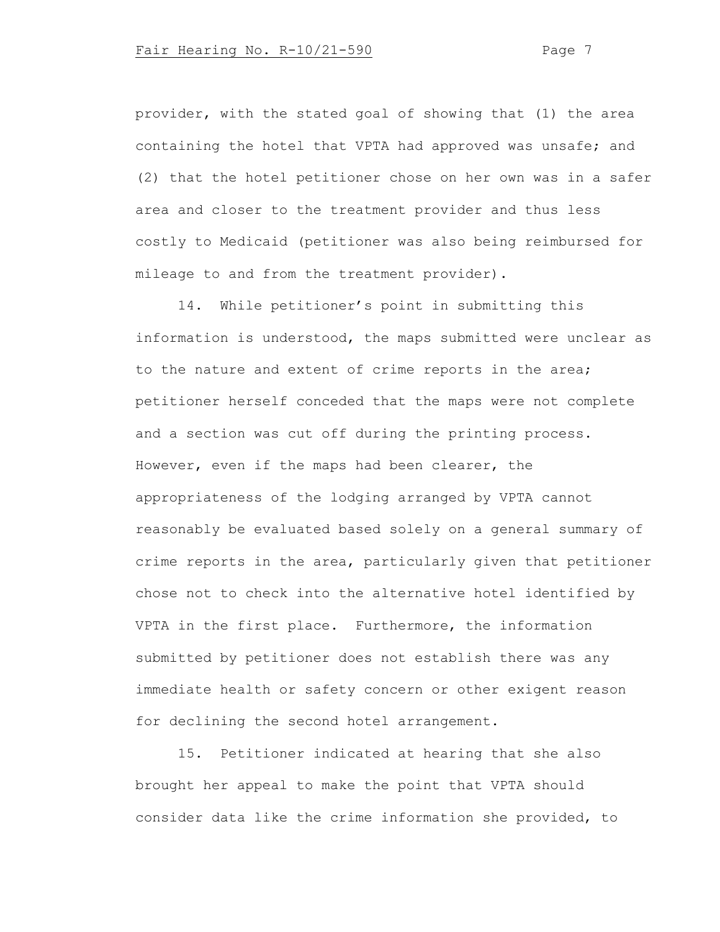provider, with the stated goal of showing that (1) the area containing the hotel that VPTA had approved was unsafe; and (2) that the hotel petitioner chose on her own was in a safer area and closer to the treatment provider and thus less costly to Medicaid (petitioner was also being reimbursed for mileage to and from the treatment provider).

14. While petitioner's point in submitting this information is understood, the maps submitted were unclear as to the nature and extent of crime reports in the area; petitioner herself conceded that the maps were not complete and a section was cut off during the printing process. However, even if the maps had been clearer, the appropriateness of the lodging arranged by VPTA cannot reasonably be evaluated based solely on a general summary of crime reports in the area, particularly given that petitioner chose not to check into the alternative hotel identified by VPTA in the first place. Furthermore, the information submitted by petitioner does not establish there was any immediate health or safety concern or other exigent reason for declining the second hotel arrangement.

15. Petitioner indicated at hearing that she also brought her appeal to make the point that VPTA should consider data like the crime information she provided, to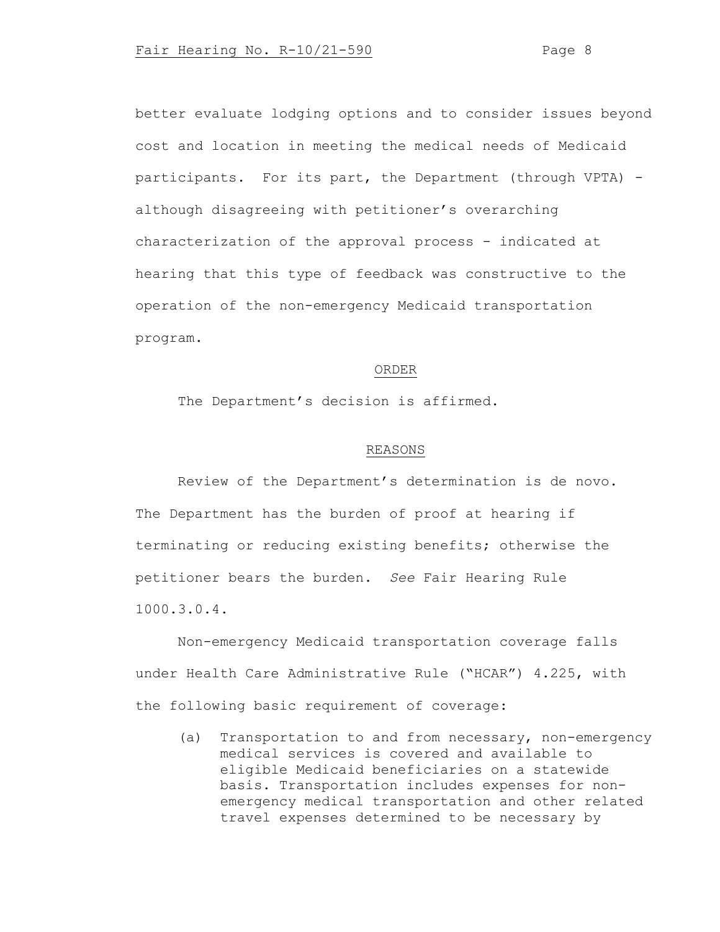better evaluate lodging options and to consider issues beyond cost and location in meeting the medical needs of Medicaid participants. For its part, the Department (through VPTA) although disagreeing with petitioner's overarching characterization of the approval process - indicated at hearing that this type of feedback was constructive to the operation of the non-emergency Medicaid transportation program.

# ORDER

The Department's decision is affirmed.

#### REASONS

Review of the Department's determination is de novo. The Department has the burden of proof at hearing if terminating or reducing existing benefits; otherwise the petitioner bears the burden. *See* Fair Hearing Rule 1000.3.0.4.

Non-emergency Medicaid transportation coverage falls under Health Care Administrative Rule ("HCAR") 4.225, with the following basic requirement of coverage:

(a) Transportation to and from necessary, non-emergency medical services is covered and available to eligible Medicaid beneficiaries on a statewide basis. Transportation includes expenses for nonemergency medical transportation and other related travel expenses determined to be necessary by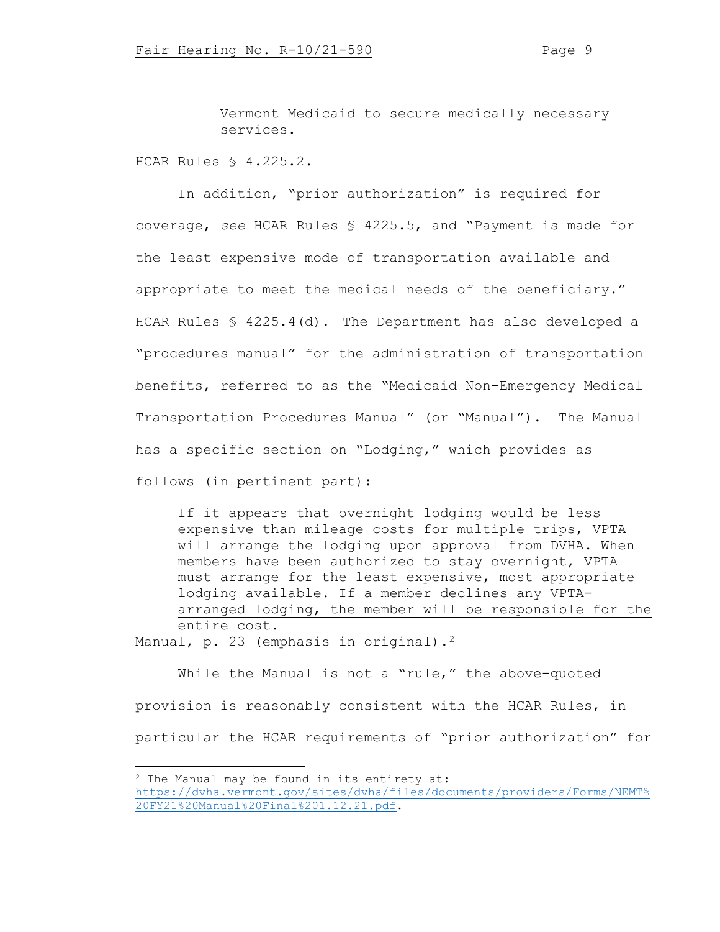Vermont Medicaid to secure medically necessary services.

HCAR Rules § 4.225.2.

In addition, "prior authorization" is required for coverage, *see* HCAR Rules § 4225.5, and "Payment is made for the least expensive mode of transportation available and appropriate to meet the medical needs of the beneficiary." HCAR Rules § 4225.4(d). The Department has also developed a "procedures manual" for the administration of transportation benefits, referred to as the "Medicaid Non-Emergency Medical Transportation Procedures Manual" (or "Manual"). The Manual has a specific section on "Lodging," which provides as follows (in pertinent part):

If it appears that overnight lodging would be less expensive than mileage costs for multiple trips, VPTA will arrange the lodging upon approval from DVHA. When members have been authorized to stay overnight, VPTA must arrange for the least expensive, most appropriate lodging available. If a member declines any VPTAarranged lodging, the member will be responsible for the entire cost.

Manual, p. [2](#page-8-0)3 (emphasis in original).<sup>2</sup>

While the Manual is not a "rule," the above-quoted provision is reasonably consistent with the HCAR Rules, in particular the HCAR requirements of "prior authorization" for

<span id="page-8-0"></span><sup>2</sup> The Manual may be found in its entirety at:

[https://dvha.vermont.gov/sites/dvha/files/documents/providers/Forms/NEMT%](https://dvha.vermont.gov/sites/dvha/files/documents/providers/Forms/NEMT%20FY21%20Manual%20Final%201.12.21.pdf) [20FY21%20Manual%20Final%201.12.21.pdf.](https://dvha.vermont.gov/sites/dvha/files/documents/providers/Forms/NEMT%20FY21%20Manual%20Final%201.12.21.pdf)